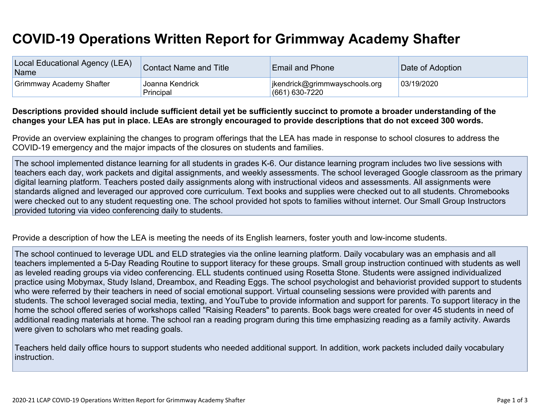## **COVID-19 Operations Written Report for Grimmway Academy Shafter**

| Local Educational Agency (LEA)<br>Name | <b>Contact Name and Title</b> | <b>Email and Phone</b>                            | Date of Adoption |
|----------------------------------------|-------------------------------|---------------------------------------------------|------------------|
| <b>Grimmway Academy Shafter</b>        | Joanna Kendrick<br>Principal  | jkendrick@grimmwayschools.org<br>$(661)$ 630-7220 | 03/19/2020       |

## Descriptions provided should include sufficient detail yet be sufficiently succinct to promote a broader understanding of the changes your LEA has put in place. LEAs are strongly encouraged to provide descriptions that do not exceed 300 words.

Provide an overview explaining the changes to program offerings that the LEA has made in response to school closures to address the COVID-19 emergency and the major impacts of the closures on students and families.

The school implemented distance learning for all students in grades K-6. Our distance learning program includes two live sessions with teachers each day, work packets and digital assignments, and weekly assessments. The school leveraged Google classroom as the primary digital learning platform. Teachers posted daily assignments along with instructional videos and assessments. All assignments were standards aligned and leveraged our approved core curriculum. Text books and supplies were checked out to all students. Chromebooks were checked out to any student requesting one. The school provided hot spots to families without internet. Our Small Group Instructors provided tutoring via video conferencing daily to students.

Provide a description of how the LEA is meeting the needs of its English learners, foster youth and low-income students.

The school continued to leverage UDL and ELD strategies via the online learning platform. Daily vocabulary was an emphasis and all teachers implemented a 5-Day Reading Routine to support literacy for these groups. Small group instruction continued with students as well as leveled reading groups via video conferencing. ELL students continued using Rosetta Stone. Students were assigned individualized practice using Mobymax, Study Island, Dreambox, and Reading Eggs. The school psychologist and behaviorist provided support to students who were referred by their teachers in need of social emotional support. Virtual counseling sessions were provided with parents and students. The school leveraged social media, texting, and YouTube to provide information and support for parents. To support literacy in the home the school offered series of workshops called "Raising Readers" to parents. Book bags were created for over 45 students in need of additional reading materials at home. The school ran a reading program during this time emphasizing reading as a family activity. Awards were given to scholars who met reading goals.

Teachers held daily office hours to support students who needed additional support. In addition, work packets included daily vocabulary instruction.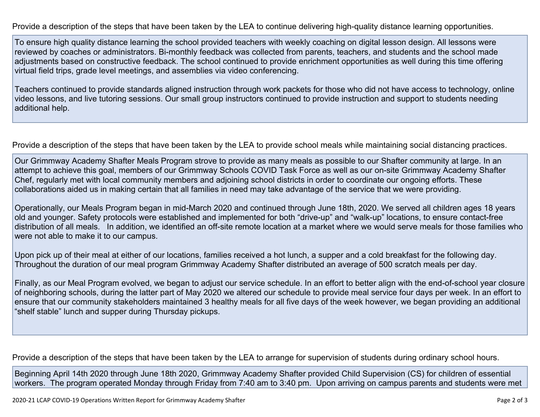Provide a description of the steps that have been taken by the LEA to continue delivering high-quality distance learning opportunities.

To ensure high quality distance learning the school provided teachers with weekly coaching on digital lesson design. All lessons were reviewed by coaches or administrators. Bi-monthly feedback was collected from parents, teachers, and students and the school made adjustments based on constructive feedback. The school continued to provide enrichment opportunities as well during this time offering virtual field trips, grade level meetings, and assemblies via video conferencing.

Teachers continued to provide standards aligned instruction through work packets for those who did not have access to technology, online video lessons, and live tutoring sessions. Our small group instructors continued to provide instruction and support to students needing additional help.

Provide a description of the steps that have been taken by the LEA to provide school meals while maintaining social distancing practices.

Our Grimmway Academy Shafter Meals Program strove to provide as many meals as possible to our Shafter community at large. In an attempt to achieve this goal, members of our Grimmway Schools COVID Task Force as well as our on-site Grimmway Academy Shafter Chef, regularly met with local community members and adjoining school districts in order to coordinate our ongoing efforts. These collaborations aided us in making certain that all families in need may take advantage of the service that we were providing.

Operationally, our Meals Program began in mid-March 2020 and continued through June 18th, 2020. We served all children ages 18 years old and younger. Safety protocols were established and implemented for both "drive-up" and "walk-up" locations, to ensure contact-free distribution of all meals. In addition, we identified an off-site remote location at a market where we would serve meals for those families who were not able to make it to our campus.

Upon pick up of their meal at either of our locations, families received a hot lunch, a supper and a cold breakfast for the following day. Throughout the duration of our meal program Grimmway Academy Shafter distributed an average of 500 scratch meals per day.

Finally, as our Meal Program evolved, we began to adjust our service schedule. In an effort to better align with the end-of-school year closure of neighboring schools, during the latter part of May 2020 we altered our schedule to provide meal service four days per week. In an effort to ensure that our community stakeholders maintained 3 healthy meals for all five days of the week however, we began providing an additional "shelf stable" lunch and supper during Thursday pickups.

Provide a description of the steps that have been taken by the LEA to arrange for supervision of students during ordinary school hours.

Beginning April 14th 2020 through June 18th 2020, Grimmway Academy Shafter provided Child Supervision (CS) for children of essential workers. The program operated Monday through Friday from 7:40 am to 3:40 pm. Upon arriving on campus parents and students were met